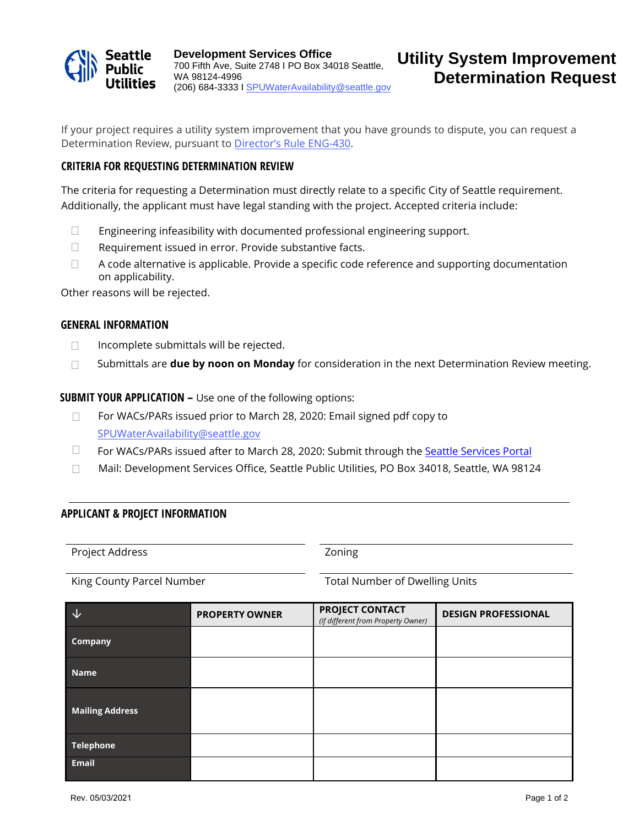

If your project requires a utility system improvement that you have grounds to dispute, you can request a Determination Review, pursuant to [Director's Rule ENG-430](http://www.seattle.gov/Documents/Departments/SPU/Documents/ENG430UtilitySystemImprovementDispute.pdf).

# **CRITERIA FOR REQUESTING DETERMINATION REVIEW**

The criteria for requesting a Determination must directly relate to a specific City of Seattle requirement. Additionally, the applicant must have legal standing with the project. Accepted criteria include:

- $\Box$  Engineering infeasibility with documented professional engineering support.
- $\Box$  Requirement issued in error. Provide substantive facts.
- $\Box$ A code alternative is applicable. Provide a specific code reference and supporting documentation on applicability.

Other reasons will be rejected.

#### **GENERAL INFORMATION**

- $\Box$  Incomplete submittals will be rejected.
- Submittals are **due by noon on Monday** for consideration in the next Determination Review meeting.

**SUBMIT YOUR APPLICATION –** Use one of the following options:

- For WACs/PARs issued prior to March 28, 2020: Email signed pdf copy to [SPUWaterAvailability@seattle.gov](mailto:spuwateravailability@seattle.gov)  $\Box$
- For WACs/PARs issued after to March 28, 2020: Submit through the [Seattle Services Portal](https://cosaccela.seattle.gov/portal/welcome.aspx)  $\Box$
- Mail: Development Services Office, Seattle Public Utilities, PO Box 34018, Seattle, WA 98124

## **APPLICANT & PROJECT INFORMATION**

Project Address **Zoning** 

King County Parcel Number Total Number Total Number of Dwelling Units

| 乁                      | <b>PROPERTY OWNER</b> | <b>PROJECT CONTACT</b><br>(If different from Property Owner) | <b>DESIGN PROFESSIONAL</b> |
|------------------------|-----------------------|--------------------------------------------------------------|----------------------------|
| Company                |                       |                                                              |                            |
| <b>Name</b>            |                       |                                                              |                            |
| <b>Mailing Address</b> |                       |                                                              |                            |
| <b>Telephone</b>       |                       |                                                              |                            |
| <b>Email</b>           |                       |                                                              |                            |